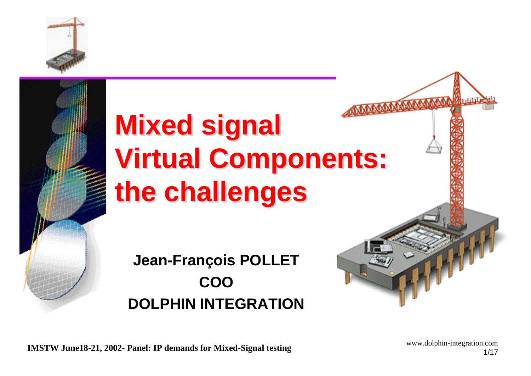

# **Mixed signal Mixed signal Virtual Components: Virtual Components: the challenges the challenges**

**Jean-François POLLET COO DOLPHIN INTEGRATION**

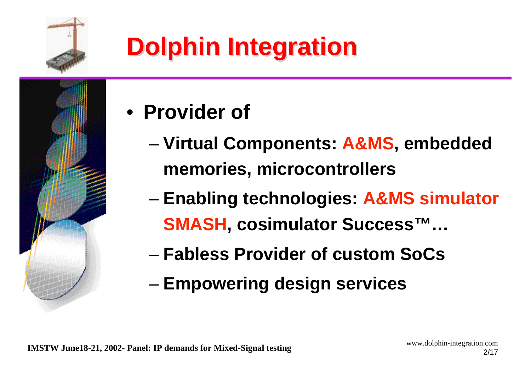

## **Dolphin Integration Dolphin Integration**

- **Provider of**
	- – **Virtual Components: A&MS, embedded memories, microcontrollers**
	- and the state of the state **Enabling technologies: A&MS simulator SMASH, cosimulator Success™…**
	- **Fabless Provider of custom SoCs**
	- and the state of the state **Empowering design services**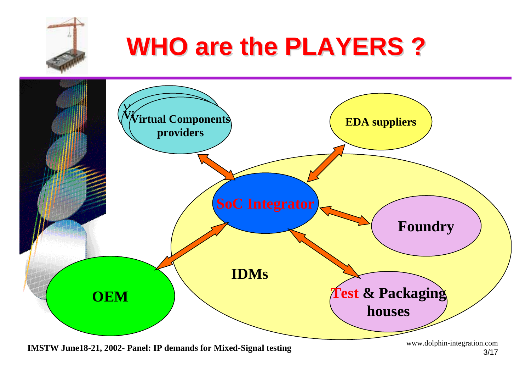## **WHO are the PLAYERS ? WHO are the PLAYERS ?**



**IMSTW June18-21, 2002- Panel: IP demands for Mixed-Signal testing** www.dolphin-integration.com 3/17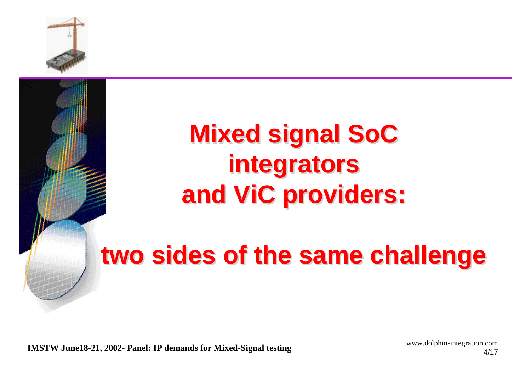

## **Mixed signal SoC Mixed signal SoC integrators integrators and ViC providers: and ViC providers:**

### **two sides of the same challenge two sides of the same challenge**

**IMSTW June18-21, 2002- Panel: IP demands for Mixed-Signal testing** www.dolphin-integration.com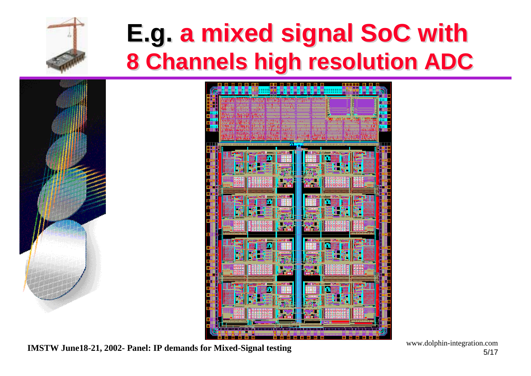

### **E.g. a mixed signal SoC with E.g. a mixed signal SoC with 8 Channels high resolution ADC 8 Channels high resolution ADC**





**IMSTW June18-21, 2002- Panel: IP demands for Mixed-Signal testing www.dolphin-integration.com** 5/17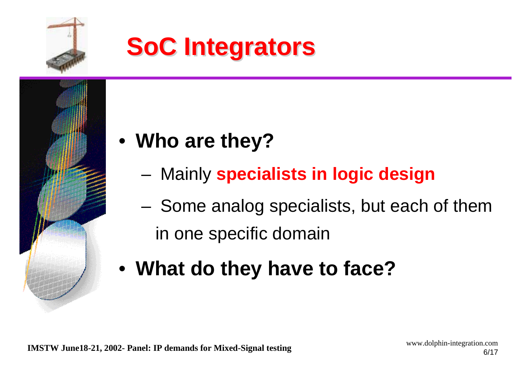

## **SoC Integrators SoC Integrators**



- Mainly **specialists in logic design**
- – Some analog specialists, but each of them in one specific domain
- **What do they have to face?**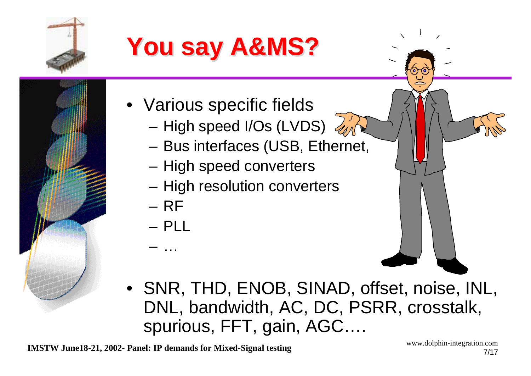

## **You say A&MS? You say A&MS?**

- Various specific fields
	- –High speed I/Os (LVDS)
	- **Links of the Common** Bus interfaces (USB, Ethernet,
	- and the state of the High speed converters
	- –High resolution converters
	- RF
	- PLL
	- –…
- SNR, THD, ENOB, SINAD, offset, noise, INL, DNL, bandwidth, AC, DC, PSRR, crosstalk, spurious, FFT, gain, AGC….

**IMSTW June18-21, 2002- Panel: IP demands for Mixed-Signal testing** www.dolphin-integration.com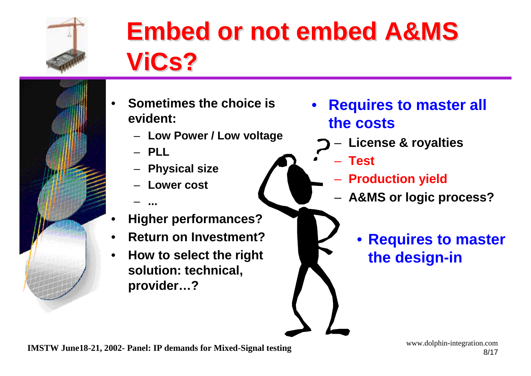

## **Embed or not embed A&MS Embed or not embed A&MS ViCs? ViCs?**

- • **Sometimes the choice is evident:**
	- **Low Power / Low voltage**
	- **PLL**

**...**

- –**Physical size**
- **Lower cost**
- •**Higher performances?**
- •**Return on Investment?**
- • **How to select the right solution: technical, provider…?**
- • **Requires to master all the costs**
	- –**License & royalties**
	- **Test**
		- **Production yield**
		- – **A&MS or logic process?**
			- $\bullet$  **Requires to master the design-in**

**IMSTW June18-21, 2002- Panel: IP demands for Mixed-Signal testing** www.dolphin-integration.com 8/17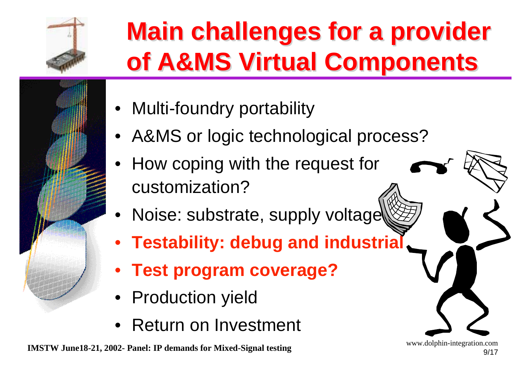

## **Main challenges for a provider Main challenges for a provider of A&MS Virtual Components of A&MS Virtual Components**

- Multi-foundry portability
- A&MS or logic technological process?
- How coping with the request for customization?
- •Noise: substrate, supply voltage
- **Testability: debug and industrial**
- **Test program coverage?**
- Production yield
- Return on Investment

**IMSTW June18-21, 2002- Panel: IP demands for Mixed-Signal testing** www.dolphin-integration.com 9/17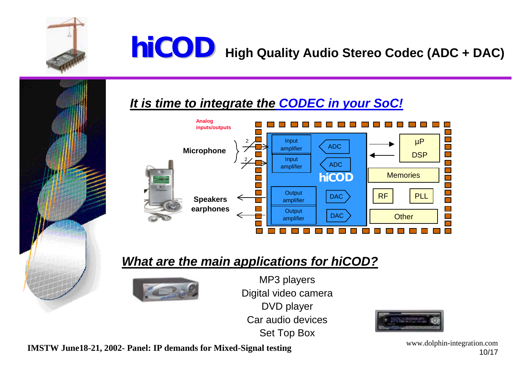

### **hiCOD High Quality Audio Stereo Codec (ADC + DAC)**

#### *It is time to integrate the CODEC in your SoC!*



#### *What are the main applications for hiCOD?*



MP3 players Digital video camera DVD player Car audio devicesSet Top Box



**IMSTW June18-21, 2002- Panel: IP demands for Mixed-Signal testing** www.dolphin-integration.com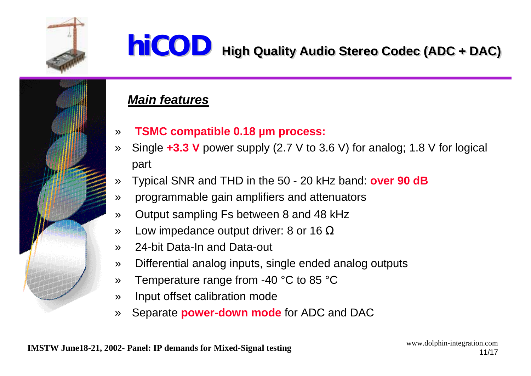

#### **hiCOD High Quality Audio Stereo Codec (ADC + DAC) High Quality Audio Stereo Codec (ADC + DAC)**

#### *Main features*

- »**TSMC compatible 0.18 µm process:**
- » Single **+3.3 V** power supply (2.7 V to 3.6 V) for analog; 1.8 V for logical part
- »Typical SNR and THD in the 50 - 20 kHz band: **over 90 dB**
- »programmable gain amplifiers and attenuators
- »Output sampling Fs between 8 and 48 kHz
- »Low impedance output driver: 8 or 16  $\Omega$
- »24-bit Data-In and Data-out
- »Differential analog inputs, single ended analog outputs
- »Temperature range from -40 °C to 85 °C
- »Input offset calibration mode
- »Separate **power-down mode** for ADC and DAC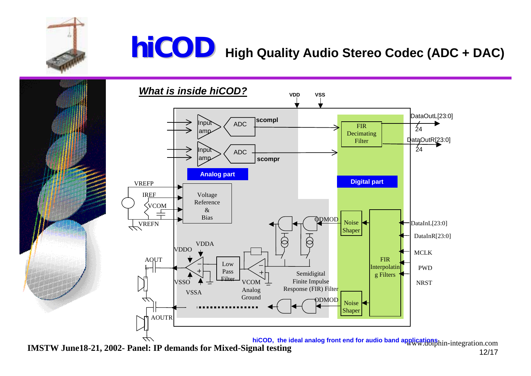

### **hiCOD High Quality Audio Stereo Codec (ADC + DAC)**





**IMSTW June18-21, 2002- Panel: IP demands for Mixed-Signal testing**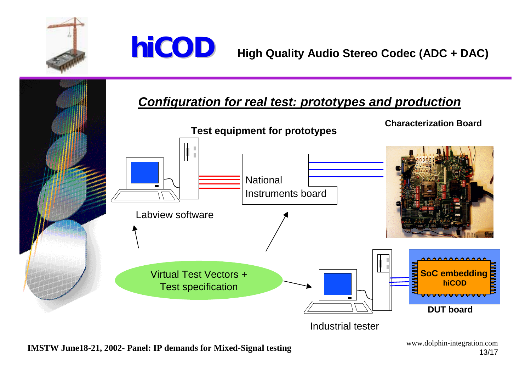



#### *Configuration for real test: prototypes and production*



**IMSTW June18-21, 2002- Panel: IP demands for Mixed-Signal testing www.dolphin-integration.com** 13/17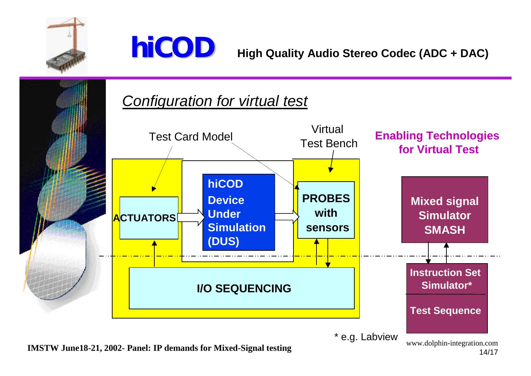





**IMSTW June18-21, 2002- Panel: IP demands for Mixed-Signal testing** www.dolphin-integration.com

\* e.g. Labview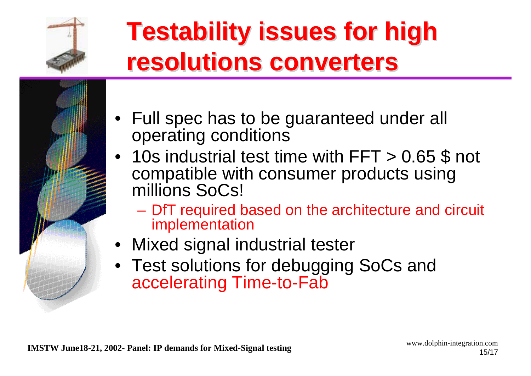

## **Testability issues for high Testability issues for high resolutions converters resolutions converters**

- Full spec has to be guaranteed under all operating conditions
- 10s industrial test time with FFT > 0.65 \$ not compatible with consumer products using millions SoCs!
	- – DfT required based on the architecture and circuit implementation
- Mixed signal industrial tester
- Test solutions for debugging SoCs and accelerating Time-to-Fab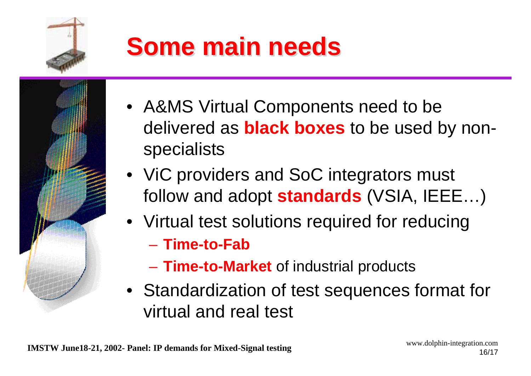

## **Some main needs Some main needs**

- A&MS Virtual Components need to be delivered as **black boxes** to be used by nonspecialists
- ViC providers and SoC integrators must follow and adopt **standards** (VSIA, IEEE…)
- Virtual test solutions required for reducing – **Time-to-Fab**
	- **Links of the Company Time-to-Market** of industrial products
- Standardization of test sequences format for virtual and real test